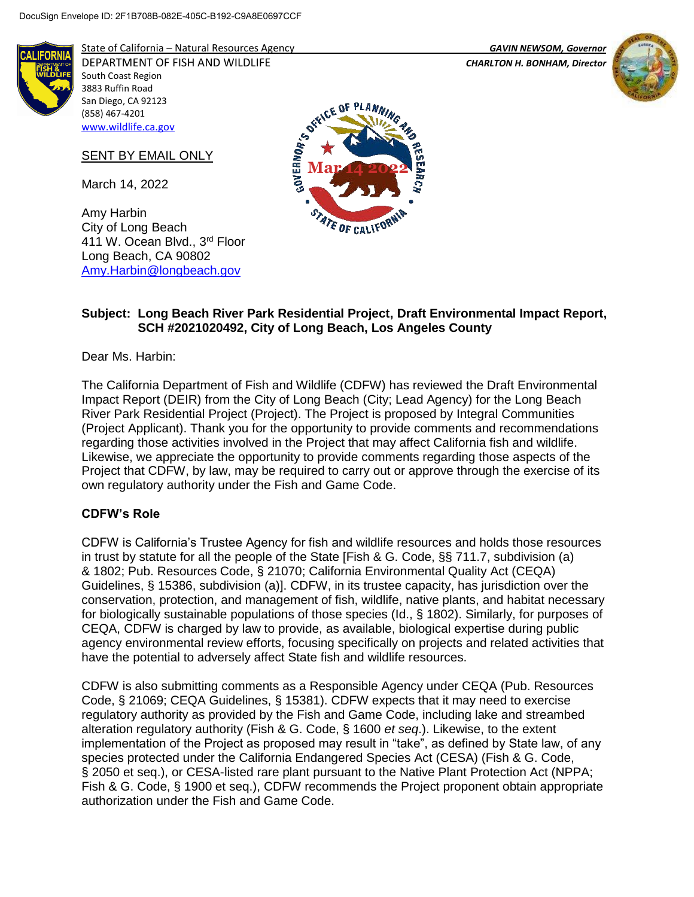South Coast Region 3883 Ruffin Road San Diego, CA 92123 (858) 467-4201 [www.wildlife.ca.gov](http://www.wildlife.ca.gov/)

March 14, 2022

City of Long Beach

411 W. Ocean Blvd., 3<sup>rd</sup> Floor Long Beach, CA 90802 [Amy.Harbin@longbeach.gov](mailto:Amy.Harbin@longbeach.gov)

Amy Harbin

SENT BY EMAIL ONLY



State of California – Natural Resources Agency *GAVIN NEWSOM, Governor*

DEPARTMENT OF FISH AND WILDLIFE *CHARLTON H. BONHAM, Director* 





# **Subject: Long Beach River Park Residential Project, Draft Environmental Impact Report, SCH #2021020492, City of Long Beach, Los Angeles County**

Dear Ms. Harbin:

The California Department of Fish and Wildlife (CDFW) has reviewed the Draft Environmental Impact Report (DEIR) from the City of Long Beach (City; Lead Agency) for the Long Beach River Park Residential Project (Project). The Project is proposed by Integral Communities (Project Applicant). Thank you for the opportunity to provide comments and recommendations regarding those activities involved in the Project that may affect California fish and wildlife. Likewise, we appreciate the opportunity to provide comments regarding those aspects of the Project that CDFW, by law, may be required to carry out or approve through the exercise of its own regulatory authority under the Fish and Game Code.

# **CDFW's Role**

CDFW is California's Trustee Agency for fish and wildlife resources and holds those resources in trust by statute for all the people of the State [Fish & G. Code, §§ 711.7, subdivision (a) & 1802; Pub. Resources Code, § 21070; California Environmental Quality Act (CEQA) Guidelines, § 15386, subdivision (a)]. CDFW, in its trustee capacity, has jurisdiction over the conservation, protection, and management of fish, wildlife, native plants, and habitat necessary for biologically sustainable populations of those species (Id., § 1802). Similarly, for purposes of CEQA, CDFW is charged by law to provide, as available, biological expertise during public agency environmental review efforts, focusing specifically on projects and related activities that have the potential to adversely affect State fish and wildlife resources.

CDFW is also submitting comments as a Responsible Agency under CEQA (Pub. Resources Code, § 21069; CEQA Guidelines, § 15381). CDFW expects that it may need to exercise regulatory authority as provided by the Fish and Game Code, including lake and streambed alteration regulatory authority (Fish & G. Code, § 1600 *et seq*.). Likewise, to the extent implementation of the Project as proposed may result in "take", as defined by State law, of any species protected under the California Endangered Species Act (CESA) (Fish & G. Code, § 2050 et seq.), or CESA-listed rare plant pursuant to the Native Plant Protection Act (NPPA; Fish & G. Code, § 1900 et seq.), CDFW recommends the Project proponent obtain appropriate authorization under the Fish and Game Code.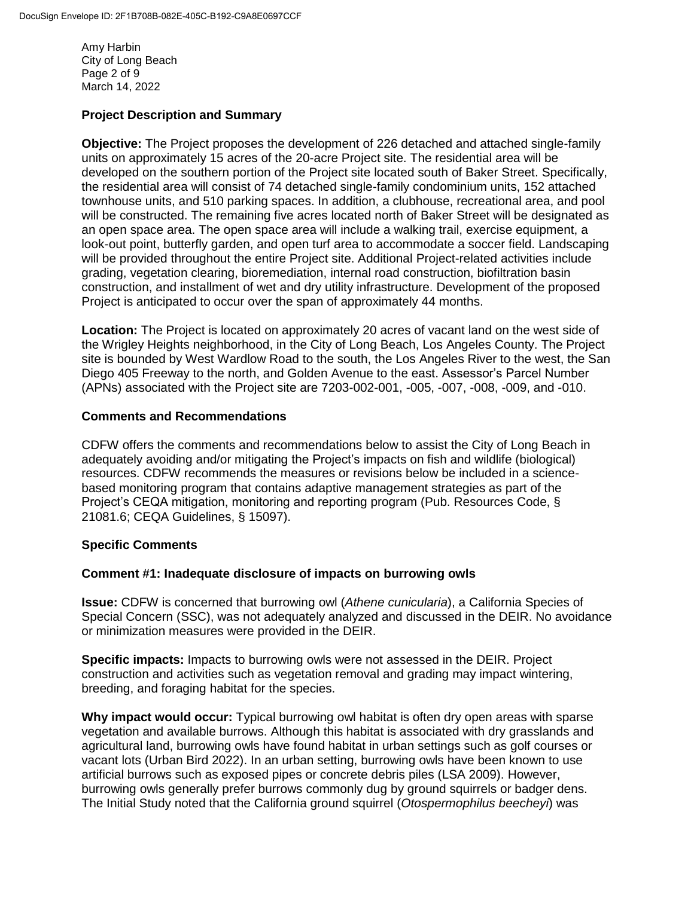Amy Harbin City of Long Beach Page 2 of 9 March 14, 2022

# **Project Description and Summary**

**Objective:** The Project proposes the development of 226 detached and attached single-family units on approximately 15 acres of the 20-acre Project site. The residential area will be developed on the southern portion of the Project site located south of Baker Street. Specifically, the residential area will consist of 74 detached single-family condominium units, 152 attached townhouse units, and 510 parking spaces. In addition, a clubhouse, recreational area, and pool will be constructed. The remaining five acres located north of Baker Street will be designated as an open space area. The open space area will include a walking trail, exercise equipment, a look-out point, butterfly garden, and open turf area to accommodate a soccer field. Landscaping will be provided throughout the entire Project site. Additional Project-related activities include grading, vegetation clearing, bioremediation, internal road construction, biofiltration basin construction, and installment of wet and dry utility infrastructure. Development of the proposed Project is anticipated to occur over the span of approximately 44 months.

**Location:** The Project is located on approximately 20 acres of vacant land on the west side of the Wrigley Heights neighborhood, in the City of Long Beach, Los Angeles County. The Project site is bounded by West Wardlow Road to the south, the Los Angeles River to the west, the San Diego 405 Freeway to the north, and Golden Avenue to the east. Assessor's Parcel Number (APNs) associated with the Project site are 7203-002-001, -005, -007, -008, -009, and -010.

#### **Comments and Recommendations**

CDFW offers the comments and recommendations below to assist the City of Long Beach in adequately avoiding and/or mitigating the Project's impacts on fish and wildlife (biological) resources. CDFW recommends the measures or revisions below be included in a sciencebased monitoring program that contains adaptive management strategies as part of the Project's CEQA mitigation, monitoring and reporting program (Pub. Resources Code, § 21081.6; CEQA Guidelines, § 15097).

# **Specific Comments**

#### **Comment #1: Inadequate disclosure of impacts on burrowing owls**

**Issue:** CDFW is concerned that burrowing owl (*Athene cunicularia*), a California Species of Special Concern (SSC), was not adequately analyzed and discussed in the DEIR. No avoidance or minimization measures were provided in the DEIR.

**Specific impacts:** Impacts to burrowing owls were not assessed in the DEIR. Project construction and activities such as vegetation removal and grading may impact wintering, breeding, and foraging habitat for the species.

**Why impact would occur:** Typical burrowing owl habitat is often dry open areas with sparse vegetation and available burrows. Although this habitat is associated with dry grasslands and agricultural land, burrowing owls have found habitat in urban settings such as golf courses or vacant lots (Urban Bird 2022). In an urban setting, burrowing owls have been known to use artificial burrows such as exposed pipes or concrete debris piles (LSA 2009). However, burrowing owls generally prefer burrows commonly dug by ground squirrels or badger dens. The Initial Study noted that the California ground squirrel (*Otospermophilus beecheyi*) was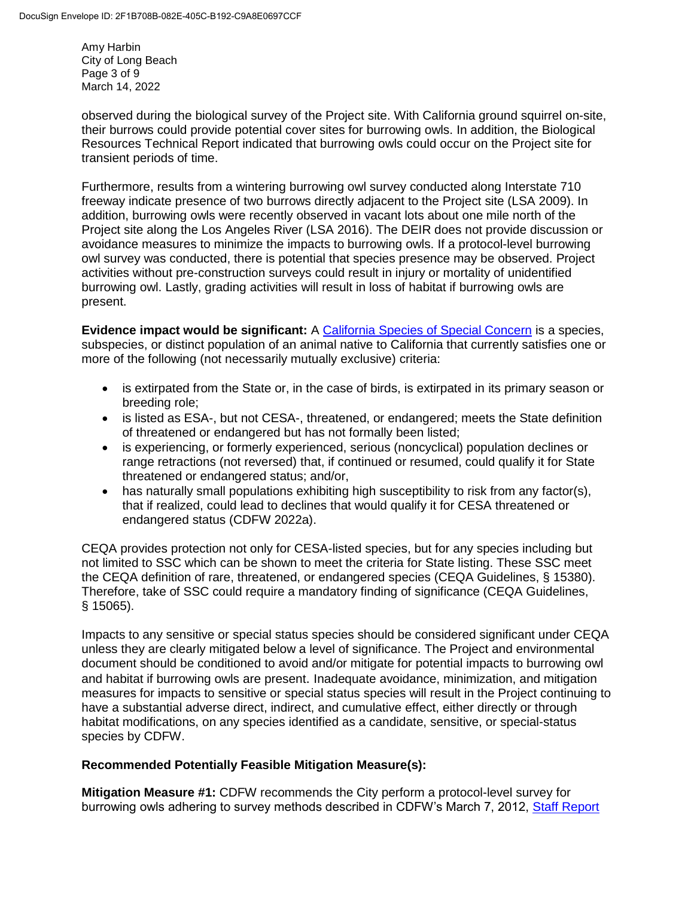Amy Harbin City of Long Beach Page 3 of 9 March 14, 2022

observed during the biological survey of the Project site. With California ground squirrel on-site, their burrows could provide potential cover sites for burrowing owls. In addition, the Biological Resources Technical Report indicated that burrowing owls could occur on the Project site for transient periods of time.

Furthermore, results from a wintering burrowing owl survey conducted along Interstate 710 freeway indicate presence of two burrows directly adjacent to the Project site (LSA 2009). In addition, burrowing owls were recently observed in vacant lots about one mile north of the Project site along the Los Angeles River (LSA 2016). The DEIR does not provide discussion or avoidance measures to minimize the impacts to burrowing owls. If a protocol-level burrowing owl survey was conducted, there is potential that species presence may be observed. Project activities without pre-construction surveys could result in injury or mortality of unidentified burrowing owl. Lastly, grading activities will result in loss of habitat if burrowing owls are present.

**Evidence impact would be significant:** A [California Species of Special Concern](https://wildlife.ca.gov/Conservation/SSC) is a species, subspecies, or distinct population of an animal native to California that currently satisfies one or more of the following (not necessarily mutually exclusive) criteria:

- is extirpated from the State or, in the case of birds, is extirpated in its primary season or breeding role;
- is listed as ESA-, but not CESA-, threatened, or endangered; meets the State definition of threatened or endangered but has not formally been listed;
- is experiencing, or formerly experienced, serious (noncyclical) population declines or range retractions (not reversed) that, if continued or resumed, could qualify it for State threatened or endangered status; and/or,
- has naturally small populations exhibiting high susceptibility to risk from any factor(s), that if realized, could lead to declines that would qualify it for CESA threatened or endangered status (CDFW 2022a).

CEQA provides protection not only for CESA-listed species, but for any species including but not limited to SSC which can be shown to meet the criteria for State listing. These SSC meet the CEQA definition of rare, threatened, or endangered species (CEQA Guidelines, § 15380). Therefore, take of SSC could require a mandatory finding of significance (CEQA Guidelines, § 15065).

Impacts to any sensitive or special status species should be considered significant under CEQA unless they are clearly mitigated below a level of significance. The Project and environmental document should be conditioned to avoid and/or mitigate for potential impacts to burrowing owl and habitat if burrowing owls are present. Inadequate avoidance, minimization, and mitigation measures for impacts to sensitive or special status species will result in the Project continuing to have a substantial adverse direct, indirect, and cumulative effect, either directly or through habitat modifications, on any species identified as a candidate, sensitive, or special-status species by CDFW.

# **Recommended Potentially Feasible Mitigation Measure(s):**

**Mitigation Measure #1:** CDFW recommends the City perform a protocol-level survey for burrowing owls adhering to survey methods described in CDFW's March 7, 2012, [Staff Report](https://nrm.dfg.ca.gov/FileHandler.ashx?DocumentID=83843&inline)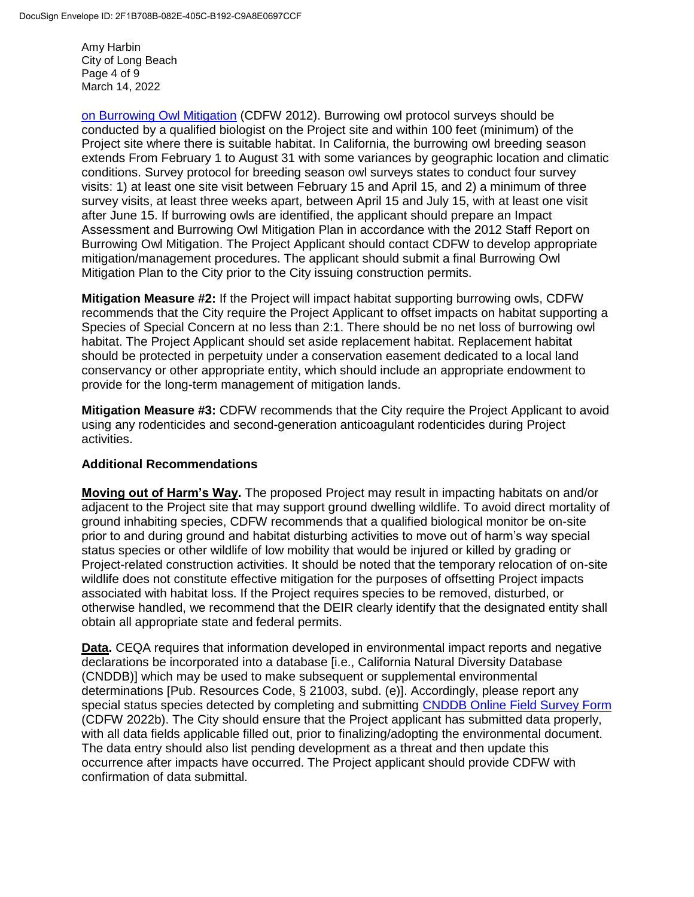Amy Harbin City of Long Beach Page 4 of 9 March 14, 2022

[on Burrowing Owl Mitigation](https://nrm.dfg.ca.gov/FileHandler.ashx?DocumentID=83843&inline) (CDFW 2012). Burrowing owl protocol surveys should be conducted by a qualified biologist on the Project site and within 100 feet (minimum) of the Project site where there is suitable habitat. In California, the burrowing owl breeding season extends From February 1 to August 31 with some variances by geographic location and climatic conditions. Survey protocol for breeding season owl surveys states to conduct four survey visits: 1) at least one site visit between February 15 and April 15, and 2) a minimum of three survey visits, at least three weeks apart, between April 15 and July 15, with at least one visit after June 15. If burrowing owls are identified, the applicant should prepare an Impact Assessment and Burrowing Owl Mitigation Plan in accordance with the 2012 Staff Report on Burrowing Owl Mitigation. The Project Applicant should contact CDFW to develop appropriate mitigation/management procedures. The applicant should submit a final Burrowing Owl Mitigation Plan to the City prior to the City issuing construction permits.

**Mitigation Measure #2:** If the Project will impact habitat supporting burrowing owls, CDFW recommends that the City require the Project Applicant to offset impacts on habitat supporting a Species of Special Concern at no less than 2:1. There should be no net loss of burrowing owl habitat. The Project Applicant should set aside replacement habitat. Replacement habitat should be protected in perpetuity under a conservation easement dedicated to a local land conservancy or other appropriate entity, which should include an appropriate endowment to provide for the long-term management of mitigation lands.

**Mitigation Measure #3:** CDFW recommends that the City require the Project Applicant to avoid using any rodenticides and second-generation anticoagulant rodenticides during Project activities.

# **Additional Recommendations**

**Moving out of Harm's Way.** The proposed Project may result in impacting habitats on and/or adjacent to the Project site that may support ground dwelling wildlife. To avoid direct mortality of ground inhabiting species, CDFW recommends that a qualified biological monitor be on-site prior to and during ground and habitat disturbing activities to move out of harm's way special status species or other wildlife of low mobility that would be injured or killed by grading or Project-related construction activities. It should be noted that the temporary relocation of on-site wildlife does not constitute effective mitigation for the purposes of offsetting Project impacts associated with habitat loss. If the Project requires species to be removed, disturbed, or otherwise handled, we recommend that the DEIR clearly identify that the designated entity shall obtain all appropriate state and federal permits.

**Data.** CEQA requires that information developed in environmental impact reports and negative declarations be incorporated into a database [i.e., California Natural Diversity Database (CNDDB)] which may be used to make subsequent or supplemental environmental determinations [Pub. Resources Code, § 21003, subd. (e)]. Accordingly, please report any special status species detected by completing and submitting [CNDDB Online Field Survey Form](https://wildlife.ca.gov/Data/CNDDB/Submitting-Data) (CDFW 2022b). The City should ensure that the Project applicant has submitted data properly, with all data fields applicable filled out, prior to finalizing/adopting the environmental document. The data entry should also list pending development as a threat and then update this occurrence after impacts have occurred. The Project applicant should provide CDFW with confirmation of data submittal.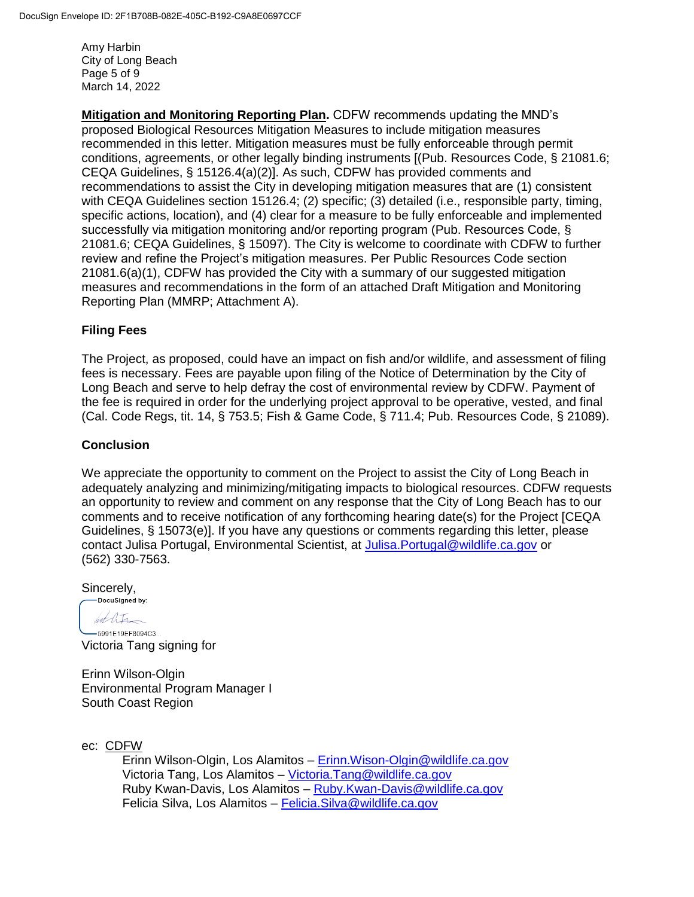Amy Harbin City of Long Beach Page 5 of 9 March 14, 2022

**Mitigation and Monitoring Reporting Plan.** CDFW recommends updating the MND's proposed Biological Resources Mitigation Measures to include mitigation measures recommended in this letter. Mitigation measures must be fully enforceable through permit conditions, agreements, or other legally binding instruments [(Pub. Resources Code, § 21081.6; CEQA Guidelines, § 15126.4(a)(2)]. As such, CDFW has provided comments and recommendations to assist the City in developing mitigation measures that are (1) consistent with CEQA Guidelines section 15126.4; (2) specific; (3) detailed (i.e., responsible party, timing, specific actions, location), and (4) clear for a measure to be fully enforceable and implemented successfully via mitigation monitoring and/or reporting program (Pub. Resources Code, § 21081.6; CEQA Guidelines, § 15097). The City is welcome to coordinate with CDFW to further review and refine the Project's mitigation measures. Per Public Resources Code section 21081.6(a)(1), CDFW has provided the City with a summary of our suggested mitigation measures and recommendations in the form of an attached Draft Mitigation and Monitoring Reporting Plan (MMRP; Attachment A).

#### **Filing Fees**

The Project, as proposed, could have an impact on fish and/or wildlife, and assessment of filing fees is necessary. Fees are payable upon filing of the Notice of Determination by the City of Long Beach and serve to help defray the cost of environmental review by CDFW. Payment of the fee is required in order for the underlying project approval to be operative, vested, and final (Cal. Code Regs, tit. 14, § 753.5; Fish & Game Code, § 711.4; Pub. Resources Code, § 21089).

#### **Conclusion**

We appreciate the opportunity to comment on the Project to assist the City of Long Beach in adequately analyzing and minimizing/mitigating impacts to biological resources. CDFW requests an opportunity to review and comment on any response that the City of Long Beach has to our comments and to receive notification of any forthcoming hearing date(s) for the Project [CEQA Guidelines, § 15073(e)]. If you have any questions or comments regarding this letter, please contact Julisa Portugal, Environmental Scientist, at [Julisa.Portugal@wildlife.ca.gov](mailto:Julisa.Portugal@wildlife.ca.gov) or (562) 330-7563.

Sincerely, -DocuSigned by:

hot life

-5991E19EF8094C3... Victoria Tang signing for

Erinn Wilson-Olgin Environmental Program Manager I South Coast Region

ec: CDFW

Erinn Wilson-Olgin, Los Alamitos – [Erinn.Wison-Olgin@wildlife.ca.gov](mailto:Erinn.Wison-Olgin@wildlife.ca.gov) Victoria Tang, Los Alamitos – [Victoria.Tang@wildlife.ca.gov](mailto:Victoria.Tang@wildlife.ca.gov) Ruby Kwan-Davis, Los Alamitos – [Ruby.Kwan-Davis@wildlife.ca.gov](mailto:Ruby.Kwan-Davis@wildlife.ca.gov) Felicia Silva, Los Alamitos – [Felicia.Silva@wildlife.ca.gov](mailto:Felicia.Silva@wildlife.ca.gov)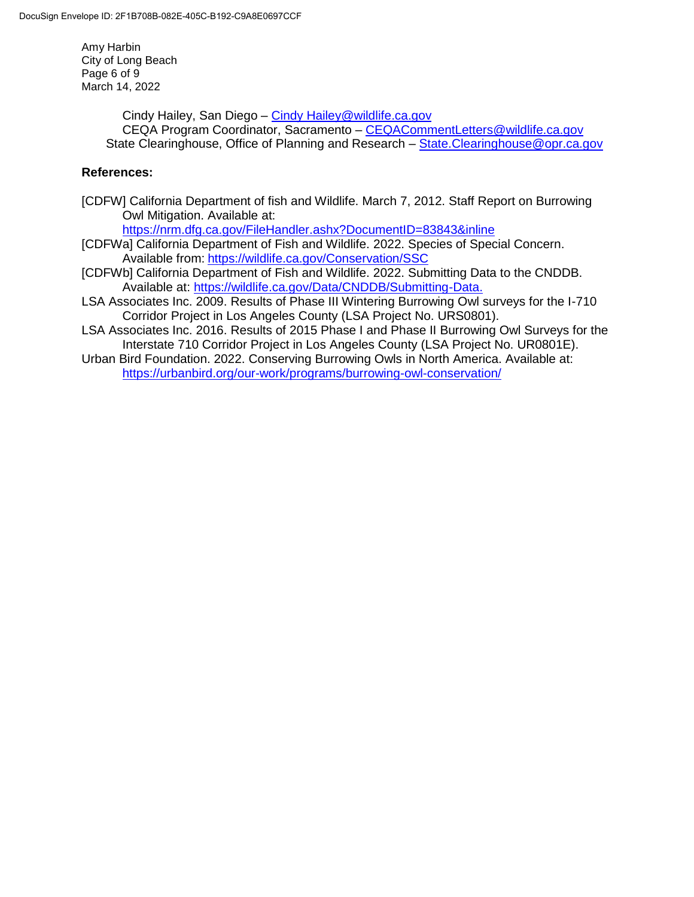Amy Harbin City of Long Beach Page 6 of 9 March 14, 2022

> Cindy Hailey, San Diego – [Cindy Hailey@wildlife.ca.gov](mailto:Cindy%20Hailey@wildlife.ca.gov) CEQA Program Coordinator, Sacramento – [CEQACommentLetters@wildlife.ca.gov](mailto:CEQACommentLetters@wildlife.ca.gov)  State Clearinghouse, Office of Planning and Research – State. Clearinghouse@opr.ca.gov

# **References:**

[CDFW] California Department of fish and Wildlife. March 7, 2012. Staff Report on Burrowing Owl Mitigation. Available at:

<https://nrm.dfg.ca.gov/FileHandler.ashx?DocumentID=83843&inline>

- [CDFWa] California Department of Fish and Wildlife. 2022. Species of Special Concern. Available from: <https://wildlife.ca.gov/Conservation/SSC>
- [CDFWb] California Department of Fish and Wildlife. 2022. Submitting Data to the CNDDB. Available at: [https://wildlife.ca.gov/Data/CNDDB/Submitting-Data.](https://wildlife.ca.gov/Data/CNDDB/Submitting-Data)
- LSA Associates Inc. 2009. Results of Phase III Wintering Burrowing Owl surveys for the I-710 Corridor Project in Los Angeles County (LSA Project No. URS0801).
- LSA Associates Inc. 2016. Results of 2015 Phase I and Phase II Burrowing Owl Surveys for the Interstate 710 Corridor Project in Los Angeles County (LSA Project No. UR0801E).
- Urban Bird Foundation. 2022. Conserving Burrowing Owls in North America. Available at: <https://urbanbird.org/our-work/programs/burrowing-owl-conservation/>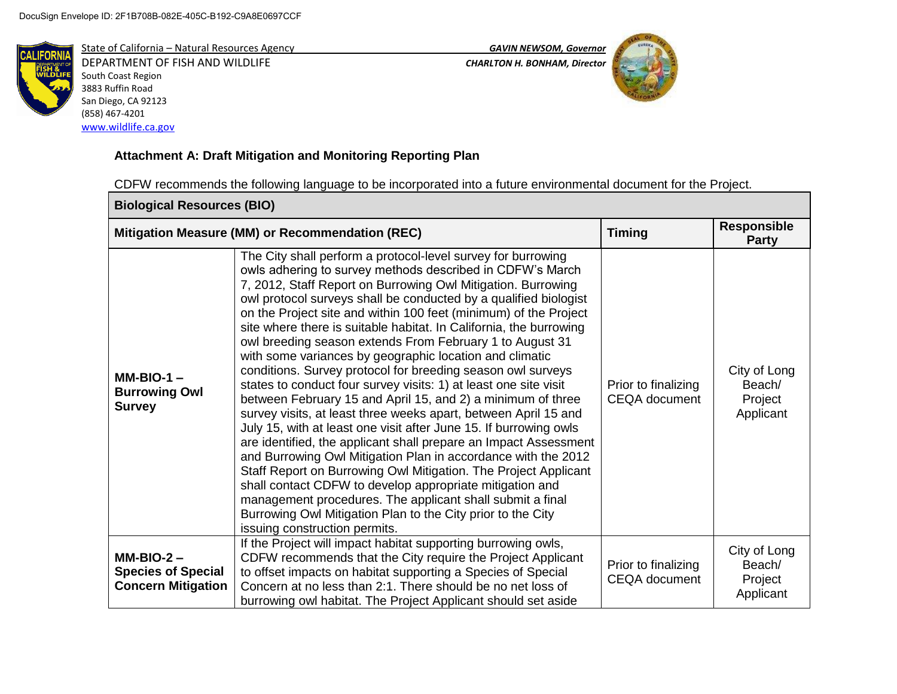

DEPARTMENT OF FISH AND WILDLIFE *CHARLTON H. BONHAM, Director*  South Coast Region 3883 Ruffin Road San Diego, CA 92123 (858) 467-4201 [www.wildlife.ca.gov](http://www.wildlife.ca.gov/)





# **Attachment A: Draft Mitigation and Monitoring Reporting Plan**

CDFW recommends the following language to be incorporated into a future environmental document for the Project.

| <b>Biological Resources (BIO)</b>                                      |                                                                                                                                                                                                                                                                                                                                                                                                                                                                                                                                                                                                                                                                                                                                                                                                                                                                                                                                                                                                                                                                                                                                                                                                                                                                                                           |                                             |                                                |  |  |
|------------------------------------------------------------------------|-----------------------------------------------------------------------------------------------------------------------------------------------------------------------------------------------------------------------------------------------------------------------------------------------------------------------------------------------------------------------------------------------------------------------------------------------------------------------------------------------------------------------------------------------------------------------------------------------------------------------------------------------------------------------------------------------------------------------------------------------------------------------------------------------------------------------------------------------------------------------------------------------------------------------------------------------------------------------------------------------------------------------------------------------------------------------------------------------------------------------------------------------------------------------------------------------------------------------------------------------------------------------------------------------------------|---------------------------------------------|------------------------------------------------|--|--|
| Mitigation Measure (MM) or Recommendation (REC)                        |                                                                                                                                                                                                                                                                                                                                                                                                                                                                                                                                                                                                                                                                                                                                                                                                                                                                                                                                                                                                                                                                                                                                                                                                                                                                                                           | <b>Timing</b>                               | <b>Responsible</b><br><b>Party</b>             |  |  |
| $MM-BIO-1 -$<br><b>Burrowing Owl</b><br><b>Survey</b>                  | The City shall perform a protocol-level survey for burrowing<br>owls adhering to survey methods described in CDFW's March<br>7, 2012, Staff Report on Burrowing Owl Mitigation. Burrowing<br>owl protocol surveys shall be conducted by a qualified biologist<br>on the Project site and within 100 feet (minimum) of the Project<br>site where there is suitable habitat. In California, the burrowing<br>owl breeding season extends From February 1 to August 31<br>with some variances by geographic location and climatic<br>conditions. Survey protocol for breeding season owl surveys<br>states to conduct four survey visits: 1) at least one site visit<br>between February 15 and April 15, and 2) a minimum of three<br>survey visits, at least three weeks apart, between April 15 and<br>July 15, with at least one visit after June 15. If burrowing owls<br>are identified, the applicant shall prepare an Impact Assessment<br>and Burrowing Owl Mitigation Plan in accordance with the 2012<br>Staff Report on Burrowing Owl Mitigation. The Project Applicant<br>shall contact CDFW to develop appropriate mitigation and<br>management procedures. The applicant shall submit a final<br>Burrowing Owl Mitigation Plan to the City prior to the City<br>issuing construction permits. | Prior to finalizing<br><b>CEQA</b> document | City of Long<br>Beach/<br>Project<br>Applicant |  |  |
| $MM-BIO-2 -$<br><b>Species of Special</b><br><b>Concern Mitigation</b> | If the Project will impact habitat supporting burrowing owls,<br>CDFW recommends that the City require the Project Applicant<br>to offset impacts on habitat supporting a Species of Special<br>Concern at no less than 2:1. There should be no net loss of<br>burrowing owl habitat. The Project Applicant should set aside                                                                                                                                                                                                                                                                                                                                                                                                                                                                                                                                                                                                                                                                                                                                                                                                                                                                                                                                                                              | Prior to finalizing<br><b>CEQA</b> document | City of Long<br>Beach/<br>Project<br>Applicant |  |  |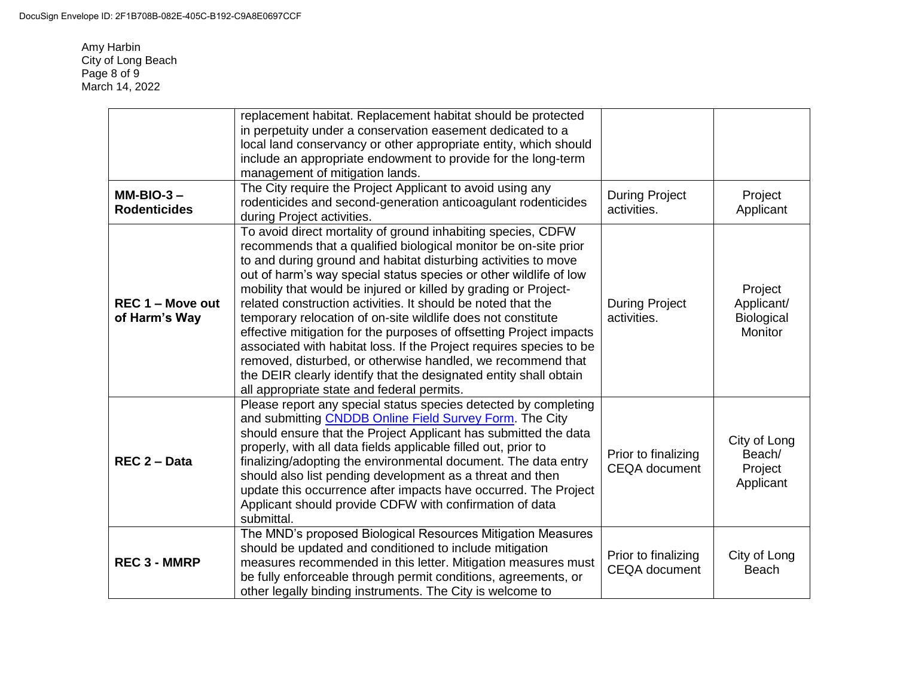Amy Harbin City of Long Beach Page 8 of 9 March 14, 2022

|                                     | replacement habitat. Replacement habitat should be protected<br>in perpetuity under a conservation easement dedicated to a<br>local land conservancy or other appropriate entity, which should<br>include an appropriate endowment to provide for the long-term                                                                                                                                                                                                                                                                                                                                                                                                                                                                                                                                           |                                             |                                                       |
|-------------------------------------|-----------------------------------------------------------------------------------------------------------------------------------------------------------------------------------------------------------------------------------------------------------------------------------------------------------------------------------------------------------------------------------------------------------------------------------------------------------------------------------------------------------------------------------------------------------------------------------------------------------------------------------------------------------------------------------------------------------------------------------------------------------------------------------------------------------|---------------------------------------------|-------------------------------------------------------|
|                                     | management of mitigation lands.                                                                                                                                                                                                                                                                                                                                                                                                                                                                                                                                                                                                                                                                                                                                                                           |                                             |                                                       |
| $MM-BIO-3 -$<br><b>Rodenticides</b> | The City require the Project Applicant to avoid using any<br>rodenticides and second-generation anticoagulant rodenticides<br>during Project activities.                                                                                                                                                                                                                                                                                                                                                                                                                                                                                                                                                                                                                                                  | <b>During Project</b><br>activities.        | Project<br>Applicant                                  |
| REC 1 - Move out<br>of Harm's Way   | To avoid direct mortality of ground inhabiting species, CDFW<br>recommends that a qualified biological monitor be on-site prior<br>to and during ground and habitat disturbing activities to move<br>out of harm's way special status species or other wildlife of low<br>mobility that would be injured or killed by grading or Project-<br>related construction activities. It should be noted that the<br>temporary relocation of on-site wildlife does not constitute<br>effective mitigation for the purposes of offsetting Project impacts<br>associated with habitat loss. If the Project requires species to be<br>removed, disturbed, or otherwise handled, we recommend that<br>the DEIR clearly identify that the designated entity shall obtain<br>all appropriate state and federal permits. | <b>During Project</b><br>activities.        | Project<br>Applicant/<br>Biological<br><b>Monitor</b> |
| REC 2 - Data                        | Please report any special status species detected by completing<br>and submitting <b>CNDDB Online Field Survey Form</b> . The City<br>should ensure that the Project Applicant has submitted the data<br>properly, with all data fields applicable filled out, prior to<br>finalizing/adopting the environmental document. The data entry<br>should also list pending development as a threat and then<br>update this occurrence after impacts have occurred. The Project<br>Applicant should provide CDFW with confirmation of data<br>submittal.                                                                                                                                                                                                                                                        | Prior to finalizing<br><b>CEQA</b> document | City of Long<br>Beach/<br>Project<br>Applicant        |
| <b>REC 3 - MMRP</b>                 | The MND's proposed Biological Resources Mitigation Measures<br>should be updated and conditioned to include mitigation<br>measures recommended in this letter. Mitigation measures must<br>be fully enforceable through permit conditions, agreements, or<br>other legally binding instruments. The City is welcome to                                                                                                                                                                                                                                                                                                                                                                                                                                                                                    | Prior to finalizing<br><b>CEQA</b> document | City of Long<br><b>Beach</b>                          |